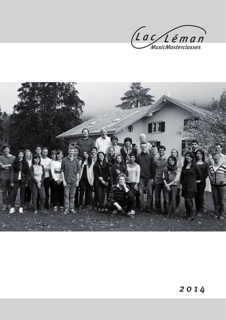

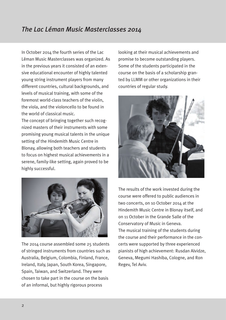# *The Lac Léman Music Masterclasses 2014*

In October 2014 the fourth series of the Lac Léman Music Masterclasses was organized. As in the previous years it consisted of an extensive educational encounter of highly talented young string instrument players from many different countries, cultural backgrounds, and levels of musical training, with some of the foremost world-class teachers of the violin, the viola, and the violoncello to be found in the world of classical music.

The concept of bringing together such recognized masters of their instruments with some promising young musical talents in the unique setting of the Hindemith Music Centre in Blonay, allowing both teachers and students to focus on highest musical achievements in a serene, family-like setting, again proved to be highly successful.



The 2014 course assembled some 25 students of stringed instruments from countries such as Australia, Belgium, Colombia, Finland, France, Ireland, Italy, Japan, South Korea, Singapore, Spain, Taiwan, and Switzerland. They were chosen to take part in the course on the basis of an informal, but highly rigorous process

looking at their musical achievements and promise to become outstanding players. Some of the students participated in the course on the basis of a scholarship granted by LLMM or other organizations in their countries of regular study.



The results of the work invested during the course were offered to public audiences in two concerts, on 10 October 2014 at the Hindemith Music Centre in Blonay itself, and on 11 October in the Grande Salle of the Conservatory of Music in Geneva. The musical training of the students during the course and their performance in the concerts were supported by three experienced pianists of high achievement: Rusdan Alvidze, Geneva, Megumi Hashiba, Cologne, and Ron Regev, Tel Aviv.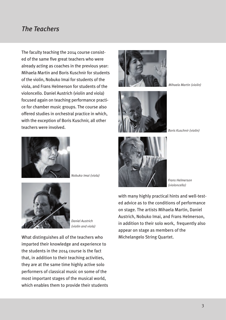### *The Teachers*

The faculty teaching the 2014 course consisted of the same five great teachers who were already acting as coaches in the previous year: Mihaela Martin and Boris Kuschnir for students of the violin, Nobuko Imai for students of the viola, and Frans Helmerson for students of the violoncello. Daniel Austrich (violin and viola) focused again on teaching performance practice for chamber music groups. The course also offered studies in orchestral practice in which, with the exception of Boris Kuschnir, all other teachers were involved.





*Mihaela Martin (violin)* 



*Nobuko Imai (viola)*



*Daniel Austrich (violin and viola)*

What distinguishes all of the teachers who imparted their knowledge and experience to the students in the 2014 course is the fact that, in addition to their teaching activities, they are at the same time highly active solo performers of classical music on some of the most important stages of the musical world, which enables them to provide their students



*Frans Helmerson (violoncello)*

with many highly practical hints and well-tested advice as to the conditions of performance on stage. The artists Mihaela Martin, Daniel Austrich, Nobuko Imai, and Frans Helmerson, in addition to their solo work, frequently also appear on stage as members of the Michelangelo String Quartet.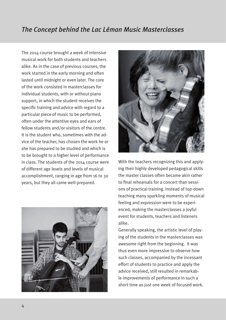### *The Concept behind the Lac Léman Music Masterclasses*

The 2014 course brought a week of intensive musical work for both students and teachers alike. As in the case of previous courses, the work started in the early morning and often lasted until midnight or even later. The core of the work consisted in masterclasses for individual students, with or without piano support, in which the student receives the specific training and advice with regard to a particular piece of music to be performed, often under the attentive eyes and ears of fellow students and/or visitors of the centre. It is the student who, sometimes with the advice of the teacher, has chosen the work he or she has prepared to be studied and which is to be brought to a higher level of performance in class. The students of the 2014 course were of different age levels and levels of musical accomplishment, ranging in age from 16 to 30 years, but they all came well-prepared.





With the teachers recognizing this and applying their highly developed pedagogical skills the master classes often became akin rather to final rehearsals for a concert than sessions of practical training. Instead of top-down teaching many sparkling moments of musical feeling and expression were to be experienced, making the masterclasses a joyful event for students, teachers and listeners alike.

Generally speaking, the artistic level of playing of the students in the masterclasses was awesome right from the beginning. It was thus even more impressive to observe how such classes, accompanied by the incessant effort of students to practice and apply the advice received, still resulted in remarkable improvements of performance in such a short time as just one week of focused work.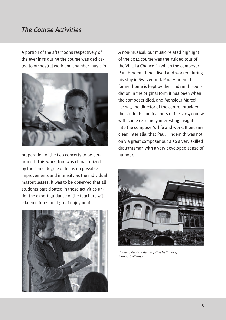#### *The Course Activities*

A portion of the afternoons respectively of the evenings during the course was dedicated to orchestral work and chamber music in



preparation of the two concerts to be performed. This work, too, was characterized by the same degree of focus on possible improvements and intensity as the individual masterclasses. It was to be observed that all students participated in these activities under the expert guidance of the teachers with a keen interest und great enjoyment.



A non-musical, but music-related highlight of the 2014 course was the guided tour of the Villa La Chance in which the composer Paul Hindemith had lived and worked during his stay in Switzerland. Paul Hindemith's former home is kept by the Hindemith Foundation in the original form it has been when the composer died, and Monsieur Marcel Lachat, the director of the centre, provided the students and teachers of the 2014 course with some extremely interesting insights into the composer's life and work. It became clear, inter alia, that Paul Hindemith was not only a great composer but also a very skilled draughtsman with a very developed sense of humour.



*Home of Paul Hindemith, Villa La Chance, Blonay, Switzerland*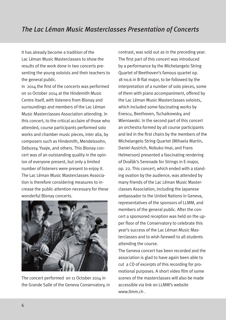It has already become a tradition of the Lac Léman Music Masterclasses to show the results of the work done in two concerts presenting the young soloists and their teachers to the general public.

In 2014 the first of the concerts was performed on 10 October 2014 at the Hindemith Music Centre itself, with listeners from Blonay and surroundings and members of the Lac Léman Music Masterclasses Association attending. In this concert, to the critical acclaim of those who attended, course participants performed solo works and chamber music pieces, inter alia, by composers such as Hindemith, Mendelssohn, Debussy, Ysaÿe, and others. This Blonay concert was of an outstanding quality in the opinion of everyone present, but only a limited number of listeners were present to enjoy it. The Lac Léman Music Masterclasses Association is therefore considering measures to increase the public attention necessary for these wonderful Blonay concerts.



The concert performed on 11 October 2014 in the Grande Salle of the Geneva Conservatory, in contrast, was sold out as in the preceding year. The first part of this concert was introduced by a performance by the Michelangelo String Quartet of Beethoven's famous quartet op. 18 no.6 in B-flat major, to be followed by the interpretation of a number of solo pieces, some of them with piano accompaniment, offered by the Lac Léman Music Masterclasses soloists, which included some fascinating works by Enescu, Beethoven, Tschaikowsky, and Wieniawski. In the second part of this concert an orchestra formed by all course participants and led in the first chairs by the members of the Michelangelo String Quartet (Mihaela Martin, Daniel Austrich, Nobuko Imai, and Frans Helmerson) presented a fascinating rendering of Dvořák's Serenade for Strings in E-major, op. 22. This concert, which ended with a standing ovation by the audience, was attended by many friends of the Lac Léman Music Masterclasses Association, including the Japanese ambassador to the United Nations in Geneva, representatives of the sponsors of LLMM, and members of the general public. After the concert a sponsored reception was held on the upper floor of the Conservatory to celebrate this year's success of the Lac Léman Music Masterclasses and to wish farewell to all students attending the course.

The Geneva concert has been recorded and the association is glad to have again been able to cut a CD of excerpts of this recording for promotional purposes. A short video film of some scenes of the masterclasses will also be made accessible via link on LLMM's website www.llmm.ch .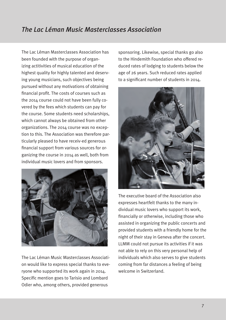# *The Lac Léman Music Masterclasses Association*

The Lac Léman Masterclasses Association has been founded with the purpose of organizing actitivities of musical education of the highest quality for highly talented and deserving young musicians, such objectives being pursued without any motivations of obtaining financial profit. The costs of courses such as the 2014 course could not have been fully covered by the fees which students can pay for the course. Some students need scholarships, which cannot always be obtained from other organizations. The 2014 course was no exception to this. The Association was therefore particularly pleased to have receiv-ed generous financial support from various sources for organizing the course in 2014 as well, both from individual music lovers and from sponsors.



The Lac Léman Music Masterclasses Association would like to express special thanks to everyone who supported its work again in 2014. Specific mention goes to Tarisio and Lombard Odier who, among others, provided generous

sponsoring. Likewise, special thanks go also to the Hindemith Foundation who offered reduced rates of lodging to students below the age of 26 years. Such reduced rates applied to a significant number of students in 2014.



The executive board of the Association also expresses heartfelt thanks to the many individual music lovers who support its work, financially or otherwise, including those who assisted in organizing the public concerts and provided students with a friendly home for the night of their stay in Geneva after the concert. LLMM could not pursue its activities if it was not able to rely on this very personal help of individuals which also serves to give students coming from far distances a feeling of being welcome in Switzerland.